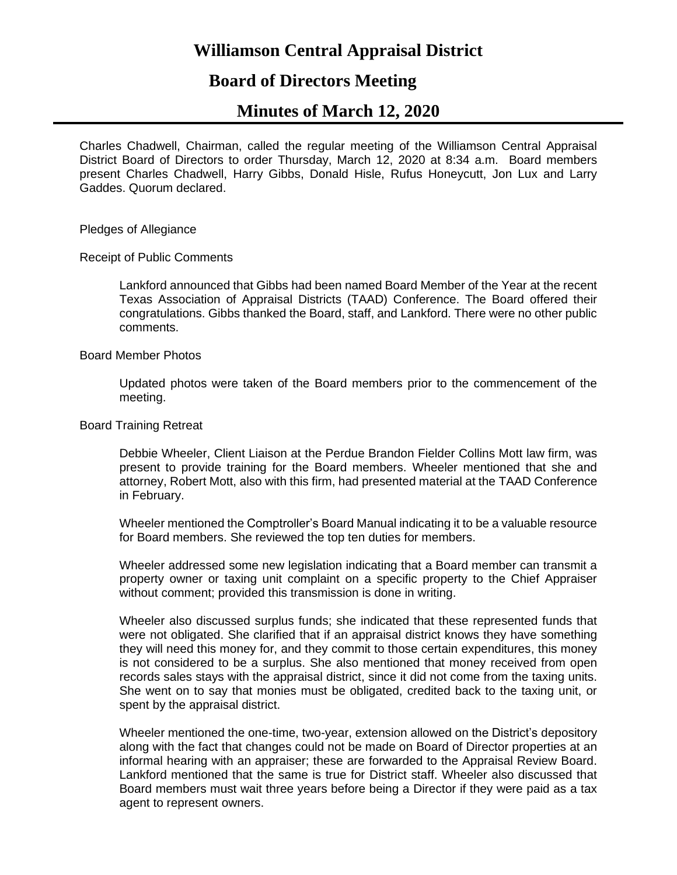# **Williamson Central Appraisal District**

# **Board of Directors Meeting**

# **Minutes of March 12, 2020**

Charles Chadwell, Chairman, called the regular meeting of the Williamson Central Appraisal District Board of Directors to order Thursday, March 12, 2020 at 8:34 a.m. Board members present Charles Chadwell, Harry Gibbs, Donald Hisle, Rufus Honeycutt, Jon Lux and Larry Gaddes. Quorum declared.

Pledges of Allegiance

Receipt of Public Comments

Lankford announced that Gibbs had been named Board Member of the Year at the recent Texas Association of Appraisal Districts (TAAD) Conference. The Board offered their congratulations. Gibbs thanked the Board, staff, and Lankford. There were no other public comments.

Board Member Photos

Updated photos were taken of the Board members prior to the commencement of the meeting.

Board Training Retreat

Debbie Wheeler, Client Liaison at the Perdue Brandon Fielder Collins Mott law firm, was present to provide training for the Board members. Wheeler mentioned that she and attorney, Robert Mott, also with this firm, had presented material at the TAAD Conference in February.

Wheeler mentioned the Comptroller's Board Manual indicating it to be a valuable resource for Board members. She reviewed the top ten duties for members.

Wheeler addressed some new legislation indicating that a Board member can transmit a property owner or taxing unit complaint on a specific property to the Chief Appraiser without comment; provided this transmission is done in writing.

Wheeler also discussed surplus funds; she indicated that these represented funds that were not obligated. She clarified that if an appraisal district knows they have something they will need this money for, and they commit to those certain expenditures, this money is not considered to be a surplus. She also mentioned that money received from open records sales stays with the appraisal district, since it did not come from the taxing units. She went on to say that monies must be obligated, credited back to the taxing unit, or spent by the appraisal district.

Wheeler mentioned the one-time, two-year, extension allowed on the District's depository along with the fact that changes could not be made on Board of Director properties at an informal hearing with an appraiser; these are forwarded to the Appraisal Review Board. Lankford mentioned that the same is true for District staff. Wheeler also discussed that Board members must wait three years before being a Director if they were paid as a tax agent to represent owners.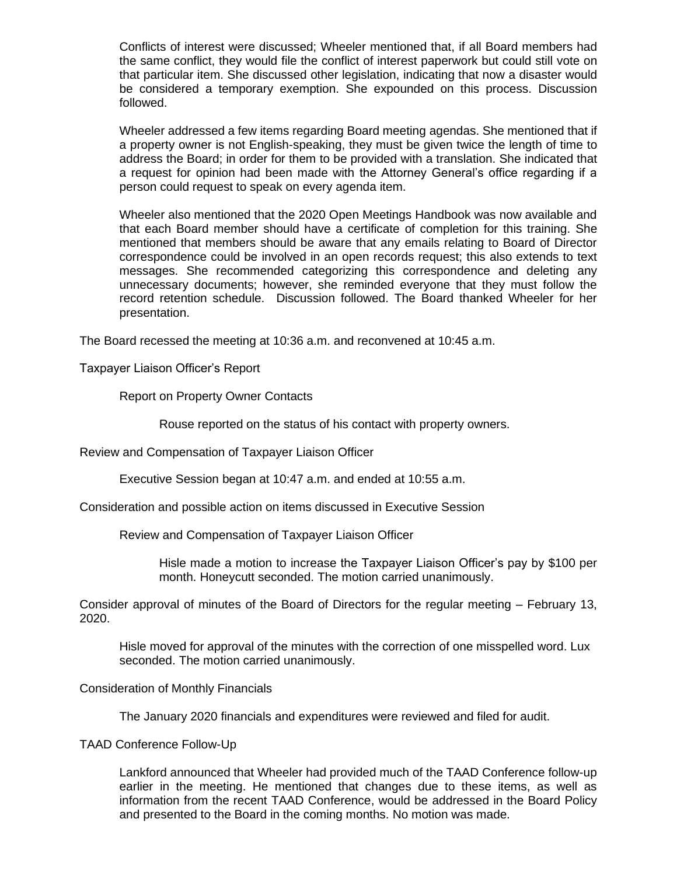Conflicts of interest were discussed; Wheeler mentioned that, if all Board members had the same conflict, they would file the conflict of interest paperwork but could still vote on that particular item. She discussed other legislation, indicating that now a disaster would be considered a temporary exemption. She expounded on this process. Discussion followed.

Wheeler addressed a few items regarding Board meeting agendas. She mentioned that if a property owner is not English-speaking, they must be given twice the length of time to address the Board; in order for them to be provided with a translation. She indicated that a request for opinion had been made with the Attorney General's office regarding if a person could request to speak on every agenda item.

Wheeler also mentioned that the 2020 Open Meetings Handbook was now available and that each Board member should have a certificate of completion for this training. She mentioned that members should be aware that any emails relating to Board of Director correspondence could be involved in an open records request; this also extends to text messages. She recommended categorizing this correspondence and deleting any unnecessary documents; however, she reminded everyone that they must follow the record retention schedule. Discussion followed. The Board thanked Wheeler for her presentation.

The Board recessed the meeting at 10:36 a.m. and reconvened at 10:45 a.m.

Taxpayer Liaison Officer's Report

Report on Property Owner Contacts

Rouse reported on the status of his contact with property owners.

Review and Compensation of Taxpayer Liaison Officer

Executive Session began at 10:47 a.m. and ended at 10:55 a.m.

Consideration and possible action on items discussed in Executive Session

Review and Compensation of Taxpayer Liaison Officer

Hisle made a motion to increase the Taxpayer Liaison Officer's pay by \$100 per month. Honeycutt seconded. The motion carried unanimously.

Consider approval of minutes of the Board of Directors for the regular meeting – February 13, 2020.

Hisle moved for approval of the minutes with the correction of one misspelled word. Lux seconded. The motion carried unanimously.

Consideration of Monthly Financials

The January 2020 financials and expenditures were reviewed and filed for audit.

TAAD Conference Follow-Up

Lankford announced that Wheeler had provided much of the TAAD Conference follow-up earlier in the meeting. He mentioned that changes due to these items, as well as information from the recent TAAD Conference, would be addressed in the Board Policy and presented to the Board in the coming months. No motion was made.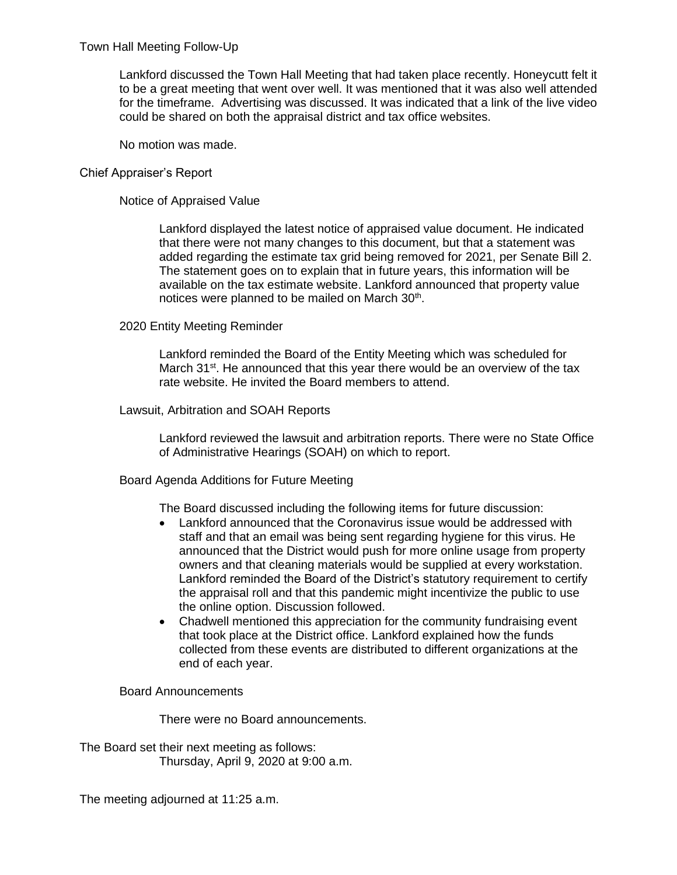Town Hall Meeting Follow-Up

Lankford discussed the Town Hall Meeting that had taken place recently. Honeycutt felt it to be a great meeting that went over well. It was mentioned that it was also well attended for the timeframe. Advertising was discussed. It was indicated that a link of the live video could be shared on both the appraisal district and tax office websites.

No motion was made.

### Chief Appraiser's Report

Notice of Appraised Value

Lankford displayed the latest notice of appraised value document. He indicated that there were not many changes to this document, but that a statement was added regarding the estimate tax grid being removed for 2021, per Senate Bill 2. The statement goes on to explain that in future years, this information will be available on the tax estimate website. Lankford announced that property value notices were planned to be mailed on March  $30<sup>th</sup>$ .

### 2020 Entity Meeting Reminder

Lankford reminded the Board of the Entity Meeting which was scheduled for March 31<sup>st</sup>. He announced that this year there would be an overview of the tax rate website. He invited the Board members to attend.

### Lawsuit, Arbitration and SOAH Reports

Lankford reviewed the lawsuit and arbitration reports. There were no State Office of Administrative Hearings (SOAH) on which to report.

#### Board Agenda Additions for Future Meeting

The Board discussed including the following items for future discussion:

- Lankford announced that the Coronavirus issue would be addressed with staff and that an email was being sent regarding hygiene for this virus. He announced that the District would push for more online usage from property owners and that cleaning materials would be supplied at every workstation. Lankford reminded the Board of the District's statutory requirement to certify the appraisal roll and that this pandemic might incentivize the public to use the online option. Discussion followed.
- Chadwell mentioned this appreciation for the community fundraising event that took place at the District office. Lankford explained how the funds collected from these events are distributed to different organizations at the end of each year.

#### Board Announcements

There were no Board announcements.

The Board set their next meeting as follows: Thursday, April 9, 2020 at 9:00 a.m.

The meeting adjourned at 11:25 a.m.